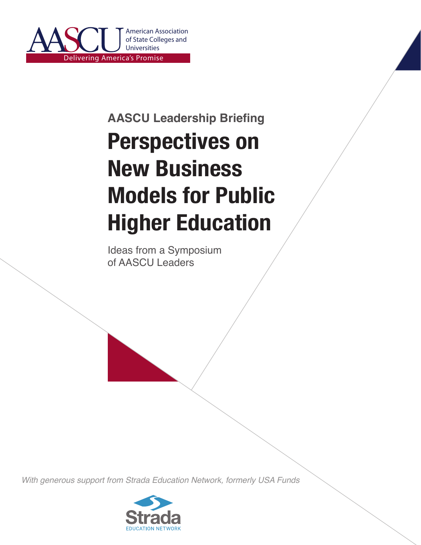

# **Perspectives on New Business Models for Public Higher Education AASCU Leadership Briefing**

Ideas from a Symposium of AASCU Leaders

*With generous support from Strada Education Network, formerly USA Funds*

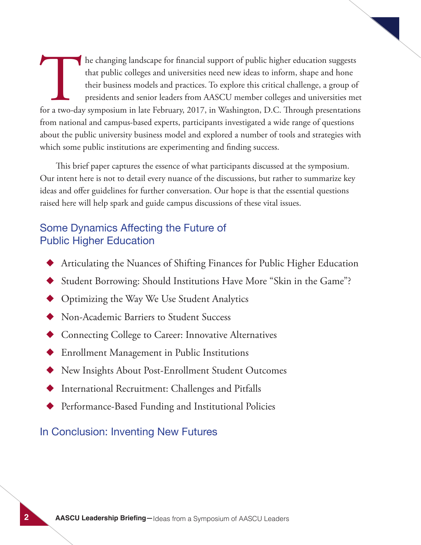The changing landscape for financial support of public higher education suggests<br>that public colleges and universities need new ideas to inform, shape and hone<br>their business models and practices. To explore this critical that public colleges and universities need new ideas to inform, shape and hone their business models and practices. To explore this critical challenge, a group of presidents and senior leaders from AASCU member colleges and universities met from national and campus-based experts, participants investigated a wide range of questions about the public university business model and explored a number of tools and strategies with which some public institutions are experimenting and finding success.

This brief paper captures the essence of what participants discussed at the symposium. Our intent here is not to detail every nuance of the discussions, but rather to summarize key ideas and offer guidelines for further conversation. Our hope is that the essential questions raised here will help spark and guide campus discussions of these vital issues.

### Some Dynamics Affecting the Future of Public Higher Education

- Articulating the Nuances of Shifting Finances for Public Higher Education
- Student Borrowing: Should Institutions Have More "Skin in the Game"?
- Optimizing the Way We Use Student Analytics
- **Non-Academic Barriers to Student Success**
- Connecting College to Career: Innovative Alternatives
- **Enrollment Management in Public Institutions**
- New Insights About Post-Enrollment Student Outcomes
- International Recruitment: Challenges and Pitfalls
- Performance-Based Funding and Institutional Policies

In Conclusion: Inventing New Futures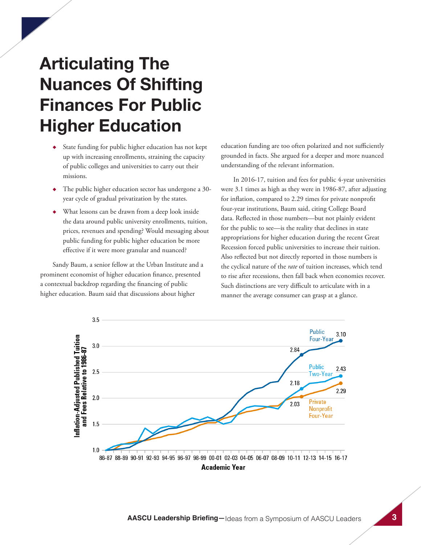# **Articulating The Nuances Of Shifting Finances For Public Higher Education**

- ◆ State funding for public higher education has not kept up with increasing enrollments, straining the capacity of public colleges and universities to carry out their missions.
- The public higher education sector has undergone a 30year cycle of gradual privatization by the states.
- What lessons can be drawn from a deep look inside the data around public university enrollments, tuition, prices, revenues and spending? Would messaging about public funding for public higher education be more effective if it were more granular and nuanced?

Sandy Baum, a senior fellow at the Urban Institute and a prominent economist of higher education finance, presented a contextual backdrop regarding the financing of public higher education. Baum said that discussions about higher

education funding are too often polarized and not sufficiently grounded in facts. She argued for a deeper and more nuanced understanding of the relevant information.

In 2016-17, tuition and fees for public 4-year universities were 3.1 times as high as they were in 1986-87, after adjusting for inflation, compared to 2.29 times for private nonprofit four-year institutions, Baum said, citing College Board data. Reflected in those numbers—but not plainly evident for the public to see—is the reality that declines in state appropriations for higher education during the recent Great Recession forced public universities to increase their tuition. Also reflected but not directly reported in those numbers is the cyclical nature of the *rate* of tuition increases, which tend to rise after recessions, then fall back when economies recover. Such distinctions are very difficult to articulate with in a manner the average consumer can grasp at a glance.

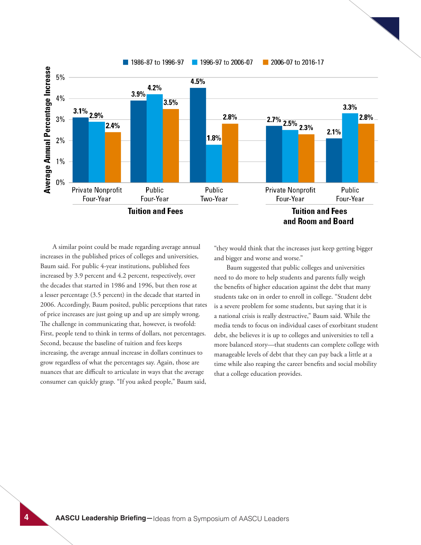

A similar point could be made regarding average annual increases in the published prices of colleges and universities, Baum said. For public 4-year institutions, published fees increased by 3.9 percent and 4.2 percent, respectively, over the decades that started in 1986 and 1996, but then rose at a lesser percentage (3.5 percent) in the decade that started in 2006. Accordingly, Baum posited, public perceptions that rates of price increases are just going up and up are simply wrong. The challenge in communicating that, however, is twofold: First, people tend to think in terms of dollars, not percentages. Second, because the baseline of tuition and fees keeps increasing, the average annual increase in dollars continues to grow regardless of what the percentages say. Again, those are nuances that are difficult to articulate in ways that the average consumer can quickly grasp. "If you asked people," Baum said,

"they would think that the increases just keep getting bigger and bigger and worse and worse."

Baum suggested that public colleges and universities need to do more to help students and parents fully weigh the benefits of higher education against the debt that many students take on in order to enroll in college. "Student debt is a severe problem for some students, but saying that it is a national crisis is really destructive," Baum said. While the media tends to focus on individual cases of exorbitant student debt, she believes it is up to colleges and universities to tell a more balanced story—that students can complete college with manageable levels of debt that they can pay back a little at a time while also reaping the career benefits and social mobility that a college education provides.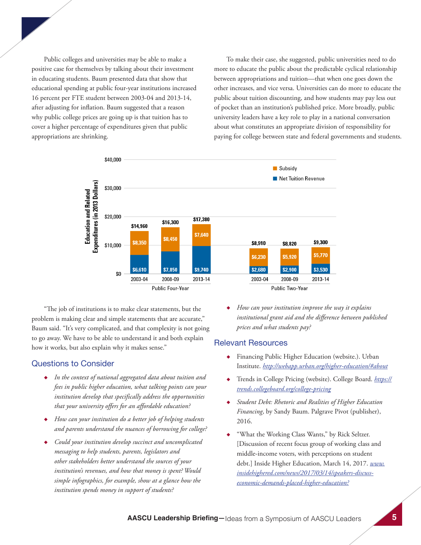Public colleges and universities may be able to make a positive case for themselves by talking about their investment in educating students. Baum presented data that show that educational spending at public four-year institutions increased 16 percent per FTE student between 2003-04 and 2013-14, after adjusting for inflation. Baum suggested that a reason why public college prices are going up is that tuition has to cover a higher percentage of expenditures given that public appropriations are shrinking.

To make their case, she suggested, public universities need to do more to educate the public about the predictable cyclical relationship between appropriations and tuition—that when one goes down the other increases, and vice versa. Universities can do more to educate the public about tuition discounting, and how students may pay less out of pocket than an institution's published price. More broadly, public university leaders have a key role to play in a national conversation about what constitutes an appropriate division of responsibility for paying for college between state and federal governments and students.



"The job of institutions is to make clear statements, but the problem is making clear and simple statements that are accurate," Baum said. "It's very complicated, and that complexity is not going to go away. We have to be able to understand it and both explain how it works, but also explain why it makes sense."

#### Questions to Consider

- ◆ *In the context of national aggregated data about tuition and fees in public higher education, what talking points can your institution develop that specifically address the opportunities that your university offers for an affordable education?*
- ◆ *How can your institution do a better job of helping students and parents understand the nuances of borrowing for college?*
- Could your institution develop succinct and uncomplicated *messaging to help students, parents, legislators and other stakeholders better understand the sources of your institution's revenues, and how that money is spent? Would simple infographics, for example, show at a glance how the institution spends money in support of students?*

◆ *How can your institution improve the way it explains institutional grant aid and the difference between published prices and what students pay?*

- ◆ Financing Public Higher Education (website.). Urban Institute. *http://webapp.urban.org/higher-education/#about*
- ◆ Trends in College Pricing (website). College Board. *https:// trends.collegeboard.org/college-pricing*
- *Student Debt: Rhetoric and Realities of Higher Education Financing*, by Sandy Baum. Palgrave Pivot (publisher), 2016.
- "What the Working Class Wants," by Rick Seltzer. [Discussion of recent focus group of working class and middle-income voters, with perceptions on student debt.] Inside Higher Education, March 14, 2017. *www. insidehighered.com/news/2017/03/14/speakers-discusseconomic-demands-placed-higher-education?*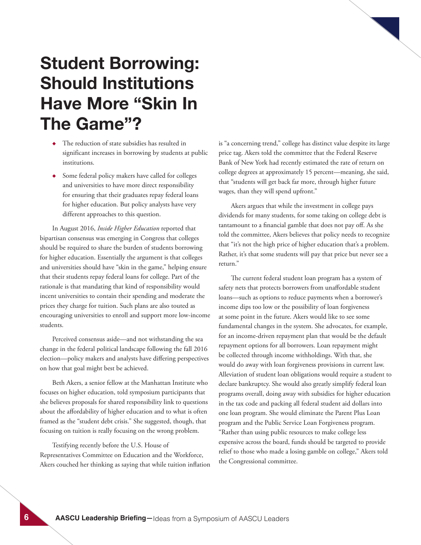### **Student Borrowing: Should Institutions Have More "Skin In The Game"?**

- ◆ The reduction of state subsidies has resulted in significant increases in borrowing by students at public institutions.
- ◆ Some federal policy makers have called for colleges and universities to have more direct responsibility for ensuring that their graduates repay federal loans for higher education. But policy analysts have very different approaches to this question.

In August 2016, *Inside Higher Education* reported that bipartisan consensus was emerging in Congress that colleges should be required to share the burden of students borrowing for higher education. Essentially the argument is that colleges and universities should have "skin in the game," helping ensure that their students repay federal loans for college. Part of the rationale is that mandating that kind of responsibility would incent universities to contain their spending and moderate the prices they charge for tuition. Such plans are also touted as encouraging universities to enroll and support more low-income students.

Perceived consensus aside—and not withstanding the sea change in the federal political landscape following the fall 2016 election—policy makers and analysts have differing perspectives on how that goal might best be achieved.

Beth Akers, a senior fellow at the Manhattan Institute who focuses on higher education, told symposium participants that she believes proposals for shared responsibility link to questions about the affordability of higher education and to what is often framed as the "student debt crisis." She suggested, though, that focusing on tuition is really focusing on the wrong problem.

Testifying recently before the U.S. House of Representatives Committee on Education and the Workforce, Akers couched her thinking as saying that while tuition inflation is "a concerning trend," college has distinct value despite its large price tag. Akers told the committee that the Federal Reserve Bank of New York had recently estimated the rate of return on college degrees at approximately 15 percent—meaning, she said, that "students will get back far more, through higher future wages, than they will spend upfront."

Akers argues that while the investment in college pays dividends for many students, for some taking on college debt is tantamount to a financial gamble that does not pay off. As she told the committee, Akers believes that policy needs to recognize that "it's not the high price of higher education that's a problem. Rather, it's that some students will pay that price but never see a return."

The current federal student loan program has a system of safety nets that protects borrowers from unaffordable student loans—such as options to reduce payments when a borrower's income dips too low or the possibility of loan forgiveness at some point in the future. Akers would like to see some fundamental changes in the system. She advocates, for example, for an income-driven repayment plan that would be the default repayment options for all borrowers. Loan repayment might be collected through income withholdings. With that, she would do away with loan forgiveness provisions in current law. Alleviation of student loan obligations would require a student to declare bankruptcy. She would also greatly simplify federal loan programs overall, doing away with subsidies for higher education in the tax code and packing all federal student aid dollars into one loan program. She would eliminate the Parent Plus Loan program and the Public Service Loan Forgiveness program. "Rather than using public resources to make college less expensive across the board, funds should be targeted to provide relief to those who made a losing gamble on college," Akers told the Congressional committee.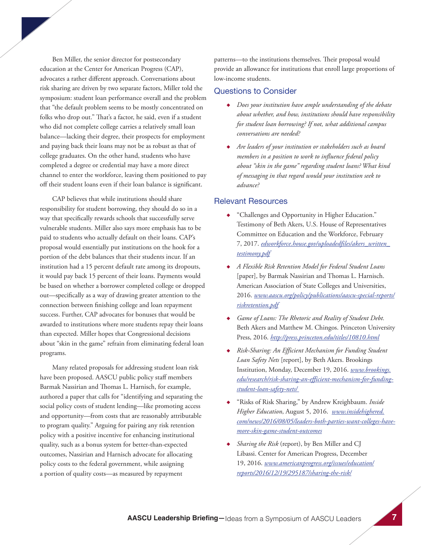Ben Miller, the senior director for postsecondary education at the Center for American Progress (CAP), advocates a rather different approach. Conversations about risk sharing are driven by two separate factors, Miller told the symposium: student loan performance overall and the problem that "the default problem seems to be mostly concentrated on folks who drop out." That's a factor, he said, even if a student who did not complete college carries a relatively small loan balance—lacking their degree, their prospects for employment and paying back their loans may not be as robust as that of college graduates. On the other hand, students who have completed a degree or credential may have a more direct channel to enter the workforce, leaving them positioned to pay off their student loans even if their loan balance is significant.

CAP believes that while institutions should share responsibility for student borrowing, they should do so in a way that specifically rewards schools that successfully serve vulnerable students. Miller also says more emphasis has to be paid to students who actually default on their loans. CAP's proposal would essentially put institutions on the hook for a portion of the debt balances that their students incur. If an institution had a 15 percent default rate among its dropouts, it would pay back 15 percent of their loans. Payments would be based on whether a borrower completed college or dropped out—specifically as a way of drawing greater attention to the connection between finishing college and loan repayment success. Further, CAP advocates for bonuses that would be awarded to institutions where more students repay their loans than expected. Miller hopes that Congressional decisions about "skin in the game" refrain from eliminating federal loan programs.

Many related proposals for addressing student loan risk have been proposed. AASCU public policy staff members Barmak Nassirian and Thomas L. Harnisch, for example, authored a paper that calls for "identifying and separating the social policy costs of student lending—like promoting access and opportunity—from costs that are reasonably attributable to program quality." Arguing for pairing any risk retention policy with a positive incentive for enhancing institutional quality, such as a bonus system for better-than-expected outcomes, Nassirian and Harnisch advocate for allocating policy costs to the federal government, while assigning a portion of quality costs—as measured by repayment

patterns—to the institutions themselves. Their proposal would provide an allowance for institutions that enroll large proportions of low-income students.

#### Questions to Consider

- ◆ *Does your institution have ample understanding of the debate about whether, and how, institutions should have responsibility for student loan borrowing? If not, what additional campus conversations are needed?*
- ◆ *Are leaders of your institution or stakeholders such as board members in a position to work to influence federal policy about "skin in the game" regarding student loans? What kind of messaging in that regard would your institution seek to advance?*

- ◆ "Challenges and Opportunity in Higher Education." Testimony of Beth Akers, U.S. House of Representatives Committee on Education and the Workforce, February 7, 2017. *edworkforce.house.gov/uploadedfiles/akers\_written\_ testimony.pdf*
- ◆ *A Flexible Risk Retention Model for Federal Student Loans*  [paper], by Barmak Nassirian and Thomas L. Harnisch. American Association of State Colleges and Universities, 2016. *www.aascu.org/policy/publications/aascu-special-reports/ riskretention.pdf*
- ◆ *Game of Loans: The Rhetoric and Reality of Student Debt.* Beth Akers and Matthew M. Chingos. Princeton University Press, 2016. *http://press.princeton.edu/titles/10810.html*
- ◆ *Risk-Sharing: An Efficient Mechanism for Funding Student Loan Safety Nets* [report], by Beth Akers. Brookings Institution, Monday, December 19, 2016. *www.brookings. edu/research/risk-sharing-an-efficient-mechanism-for-fundingstudent-loan-safety-nets/*
- ◆ "Risks of Risk Sharing," by Andrew Kreighbaum. *Inside Higher Education*, August 5, 2016. *www.insidehighered. com/news/2016/08/05/leaders-both-parties-want-colleges-havemore-skin-game-student-outcomes*
- *Sharing the Risk* (report), by Ben Miller and CJ Libassi. Center for American Progress, December 19, 2016. *www.americanprogress.org/issues/education/ reports/2016/12/19/295187/sharing-the-risk/*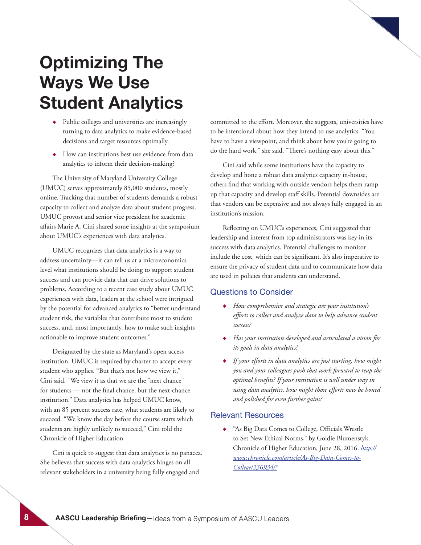# **Optimizing The Ways We Use Student Analytics**

- ◆ Public colleges and universities are increasingly turning to data analytics to make evidence-based decisions and target resources optimally.
- ◆ How can institutions best use evidence from data analytics to inform their decision-making?

The University of Maryland University College (UMUC) serves approximately 85,000 students, mostly online. Tracking that number of students demands a robust capacity to collect and analyze data about student progress. UMUC provost and senior vice president for academic affairs Marie A. Cini shared some insights at the symposium about UMUC's experiences with data analytics.

UMUC recognizes that data analytics is a way to address uncertainty—it can tell us at a microeconomics level what institutions should be doing to support student success and can provide data that can drive solutions to problems. According to a recent case study about UMUC experiences with data, leaders at the school were intrigued by the potential for advanced analytics to "better understand student risk, the variables that contribute most to student success, and, most importantly, how to make such insights actionable to improve student outcomes."

Designated by the state as Maryland's open access institution, UMUC is required by charter to accept every student who applies. "But that's not how we view it," Cini said. "We view it as that we are the "next chance" for students — not the final chance, but the next-chance institution." Data analytics has helped UMUC know, with an 85 percent success rate, what students are likely to succeed. "We know the day before the course starts which students are highly unlikely to succeed," Cini told the Chronicle of Higher Education

Cini is quick to suggest that data analytics is no panacea. She believes that success with data analytics hinges on all relevant stakeholders in a university being fully engaged and

committed to the effort. Moreover, she suggests, universities have to be intentional about how they intend to use analytics. "You have to have a viewpoint, and think about how you're going to do the hard work," she said. "There's nothing easy about this."

Cini said while some institutions have the capacity to develop and hone a robust data analytics capacity in-house, others find that working with outside vendors helps them ramp up that capacity and develop staff skills. Potential downsides are that vendors can be expensive and not always fully engaged in an institution's mission.

Reflecting on UMUC's experiences, Cini suggested that leadership and interest from top administrators was key in its success with data analytics. Potential challenges to monitor include the cost, which can be significant. It's also imperative to ensure the privacy of student data and to communicate how data are used in policies that students can understand.

#### Questions to Consider

- ◆ *How comprehensive and strategic are your institution's efforts to collect and analyze data to help advance student success?*
- ◆ *Has your institution developed and articulated a vision for its goals in data analytics?*
- ◆ *If your efforts in data analytics are just starting, how might you and your colleagues push that work forward to reap the optimal benefits? If your institution is well under way in using data analytics, how might those efforts now be honed and polished for even further gains?*

#### Relevant Resources

◆ "As Big Data Comes to College, Officials Wrestle to Set New Ethical Norms," by Goldie Blumenstyk. Chronicle of Higher Education, June 28, 2016. *http:// www.chronicle.com/article/As-Big-Data-Comes-to-College/236934/?*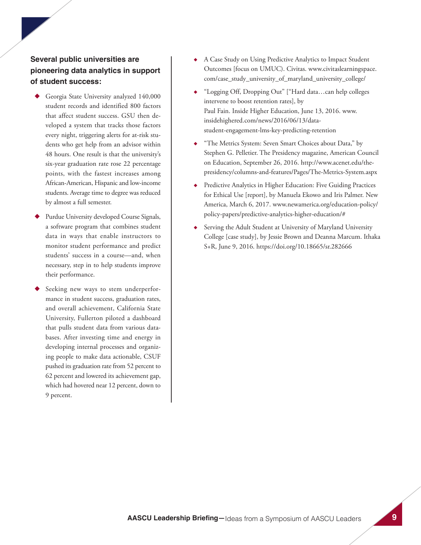### **Several public universities are pioneering data analytics in support of student success:**

- Georgia State University analyzed 140,000 student records and identified 800 factors that affect student success. GSU then developed a system that tracks those factors every night, triggering alerts for at-risk students who get help from an advisor within 48 hours. One result is that the university's six-year graduation rate rose 22 percentage points, with the fastest increases among African-American, Hispanic and low-income students. Average time to degree was reduced by almost a full semester.
- Purdue University developed Course Signals, a software program that combines student data in ways that enable instructors to monitor student performance and predict students' success in a course—and, when necessary, step in to help students improve their performance.
- Seeking new ways to stem underperformance in student success, graduation rates, and overall achievement, California State University, Fullerton piloted a dashboard that pulls student data from various databases. After investing time and energy in developing internal processes and organizing people to make data actionable, CSUF pushed its graduation rate from 52 percent to 62 percent and lowered its achievement gap, which had hovered near 12 percent, down to 9 percent.
- A Case Study on Using Predictive Analytics to Impact Student Outcomes [focus on UMUC). Civitas. www.civitaslearningspace. com/case\_study\_university\_of\_maryland\_university\_college/
- ◆ "Logging Off, Dropping Out" ["Hard data…can help colleges intervene to boost retention rates], by Paul Fain. Inside Higher Education, June 13, 2016. www. insidehighered.com/news/2016/06/13/datastudent-engagement-lms-key-predicting-retention
- "The Metrics System: Seven Smart Choices about Data," by Stephen G. Pelletier. The Presidency magazine, American Council on Education, September 26, 2016. http://www.acenet.edu/thepresidency/columns-and-features/Pages/The-Metrics-System.aspx
- Predictive Analytics in Higher Education: Five Guiding Practices for Ethical Use [report], by Manuela Ekowo and Iris Palmer. New America, March 6, 2017. www.newamerica.org/education-policy/ policy-papers/predictive-analytics-higher-education/#
- Serving the Adult Student at University of Maryland University College [case study], by Jessie Brown and Deanna Marcum. Ithaka S+R, June 9, 2016. https://doi.org/10.18665/sr.282666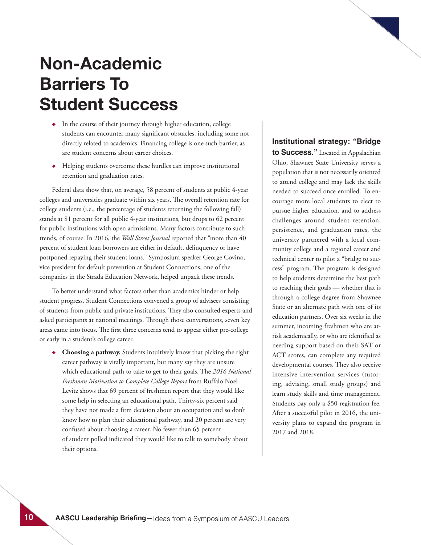## **Non-Academic Barriers To Student Success**

- ◆ In the course of their journey through higher education, college students can encounter many significant obstacles, including some not directly related to academics. Financing college is one such barrier, as are student concerns about career choices.
- ◆ Helping students overcome these hurdles can improve institutional retention and graduation rates.

Federal data show that, on average, 58 percent of students at public 4-year colleges and universities graduate within six years. The overall retention rate for college students (i.e., the percentage of students returning the following fall) stands at 81 percent for all public 4-year institutions, but drops to 62 percent for public institutions with open admissions. Many factors contribute to such trends, of course. In 2016, the *Wall Street Journal* reported that "more than 40 percent of student loan borrowers are either in default, delinquency or have postponed repaying their student loans." Symposium speaker George Covino, vice president for default prevention at Student Connections, one of the companies in the Strada Education Network, helped unpack these trends.

To better understand what factors other than academics hinder or help student progress, Student Connections convened a group of advisees consisting of students from public and private institutions. They also consulted experts and asked participants at national meetings. Through those conversations, seven key areas came into focus. The first three concerns tend to appear either pre-college or early in a student's college career.

◆ **Choosing a pathway.** Students intuitively know that picking the right career pathway is vitally important, but many say they are unsure which educational path to take to get to their goals. The *2016 National Freshman Motivation to Complete College Report* from Ruffalo Noel Levitz shows that 69 percent of freshmen report that they would like some help in selecting an educational path. Thirty-six percent said they have not made a firm decision about an occupation and so don't know how to plan their educational pathway, and 20 percent are very confused about choosing a career. No fewer than 65 percent of student polled indicated they would like to talk to somebody about their options.

#### **Institutional strategy: "Bridge**

**to Success."** Located in Appalachian Ohio, Shawnee State University serves a population that is not necessarily oriented to attend college and may lack the skills needed to succeed once enrolled. To encourage more local students to elect to pursue higher education, and to address challenges around student retention, persistence, and graduation rates, the university partnered with a local community college and a regional career and technical center to pilot a "bridge to success" program. The program is designed to help students determine the best path to reaching their goals — whether that is through a college degree from Shawnee State or an alternate path with one of its education partners. Over six weeks in the summer, incoming freshmen who are atrisk academically, or who are identified as needing support based on their SAT or ACT scores, can complete any required developmental courses. They also receive intensive intervention services (tutoring, advising, small study groups) and learn study skills and time management. Students pay only a \$50 registration fee. After a successful pilot in 2016, the university plans to expand the program in 2017 and 2018.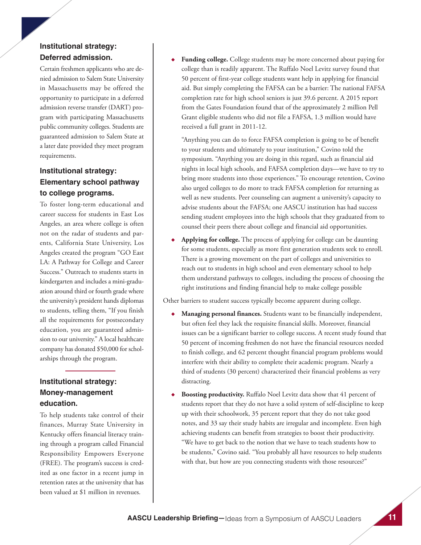### **Institutional strategy: Deferred admission.**

Certain freshmen applicants who are denied admission to Salem State University in Massachusetts may be offered the opportunity to participate in a deferred admission reverse transfer (DART) program with participating Massachusetts public community colleges. Students are guaranteed admission to Salem State at a later date provided they meet program requirements.

### **Institutional strategy: Elementary school pathway to college programs.**

To foster long-term educational and career success for students in East Los Angeles, an area where college is often not on the radar of students and parents, California State University, Los Angeles created the program "GO East LA: A Pathway for College and Career Success." Outreach to students starts in kindergarten and includes a mini-graduation around third or fourth grade where the university's president hands diplomas to students, telling them, "If you finish all the requirements for postsecondary education, you are guaranteed admission to our university." A local healthcare company has donated \$50,000 for scholarships through the program.

### **Institutional strategy: Money-management education.**

To help students take control of their finances, Murray State University in Kentucky offers financial literacy training through a program called Financial Responsibility Empowers Everyone (FREE). The program's success is credited as one factor in a recent jump in retention rates at the university that has been valued at \$1 million in revenues.

Funding college. College students may be more concerned about paying for college than is readily apparent. The Ruffalo Noel Levitz survey found that 50 percent of first-year college students want help in applying for financial aid. But simply completing the FAFSA can be a barrier: The national FAFSA completion rate for high school seniors is just 39.6 percent. A 2015 report from the Gates Foundation found that of the approximately 2 million Pell Grant eligible students who did not file a FAFSA, 1.3 million would have received a full grant in 2011-12.

"Anything you can do to force FAFSA completion is going to be of benefit to your students and ultimately to your institution," Covino told the symposium. "Anything you are doing in this regard, such as financial aid nights in local high schools, and FAFSA completion days—we have to try to bring more students into those experiences." To encourage retention, Covino also urged colleges to do more to track FAFSA completion for returning as well as new students. Peer counseling can augment a university's capacity to advise students about the FAFSA; one AASCU institution has had success sending student employees into the high schools that they graduated from to counsel their peers there about college and financial aid opportunities.

**Applying for college.** The process of applying for college can be daunting for some students, especially as more first generation students seek to enroll. There is a growing movement on the part of colleges and universities to reach out to students in high school and even elementary school to help them understand pathways to colleges, including the process of choosing the right institutions and finding financial help to make college possible

Other barriers to student success typically become apparent during college.

- **Managing personal finances.** Students want to be financially independent, but often feel they lack the requisite financial skills. Moreover, financial issues can be a significant barrier to college success. A recent study found that 50 percent of incoming freshmen do not have the financial resources needed to finish college, and 62 percent thought financial program problems would interfere with their ability to complete their academic program. Nearly a third of students (30 percent) characterized their financial problems as very distracting.
- **Boosting productivity.** Ruffalo Noel Levitz data show that 41 percent of students report that they do not have a solid system of self-discipline to keep up with their schoolwork, 35 percent report that they do not take good notes, and 33 say their study habits are irregular and incomplete. Even high achieving students can benefit from strategies to boost their productivity. "We have to get back to the notion that we have to teach students how to be students," Covino said. "You probably all have resources to help students with that, but how are you connecting students with those resources?"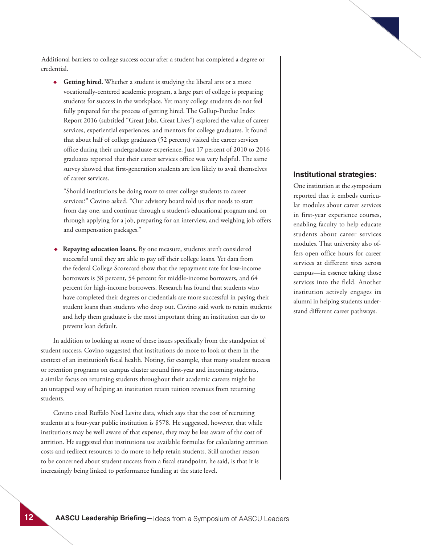Additional barriers to college success occur after a student has completed a degree or credential.

◆ **Getting hired.** Whether a student is studying the liberal arts or a more vocationally-centered academic program, a large part of college is preparing students for success in the workplace. Yet many college students do not feel fully prepared for the process of getting hired. The Gallup-Purdue Index Report 2016 (subtitled "Great Jobs, Great Lives") explored the value of career services, experiential experiences, and mentors for college graduates. It found that about half of college graduates (52 percent) visited the career services office during their undergraduate experience. Just 17 percent of 2010 to 2016 graduates reported that their career services office was very helpful. The same survey showed that first-generation students are less likely to avail themselves of career services.

"Should institutions be doing more to steer college students to career services?" Covino asked. "Our advisory board told us that needs to start from day one, and continue through a student's educational program and on through applying for a job, preparing for an interview, and weighing job offers and compensation packages."

◆ **Repaying education loans.** By one measure, students aren't considered successful until they are able to pay off their college loans. Yet data from the federal College Scorecard show that the repayment rate for low-income borrowers is 38 percent, 54 percent for middle-income borrowers, and 64 percent for high-income borrowers. Research has found that students who have completed their degrees or credentials are more successful in paying their student loans than students who drop out. Covino said work to retain students and help them graduate is the most important thing an institution can do to prevent loan default.

In addition to looking at some of these issues specifically from the standpoint of student success, Covino suggested that institutions do more to look at them in the context of an institution's fiscal health. Noting, for example, that many student success or retention programs on campus cluster around first-year and incoming students, a similar focus on returning students throughout their academic careers might be an untapped way of helping an institution retain tuition revenues from returning students.

Covino cited Ruffalo Noel Levitz data, which says that the cost of recruiting students at a four-year public institution is \$578. He suggested, however, that while institutions may be well aware of that expense, they may be less aware of the cost of attrition. He suggested that institutions use available formulas for calculating attrition costs and redirect resources to do more to help retain students. Still another reason to be concerned about student success from a fiscal standpoint, he said, is that it is increasingly being linked to performance funding at the state level.

#### **Institutional strategies:**

One institution at the symposium reported that it embeds curricular modules about career services in first-year experience courses, enabling faculty to help educate students about career services modules. That university also offers open office hours for career services at different sites across campus—in essence taking those services into the field. Another institution actively engages its alumni in helping students understand different career pathways.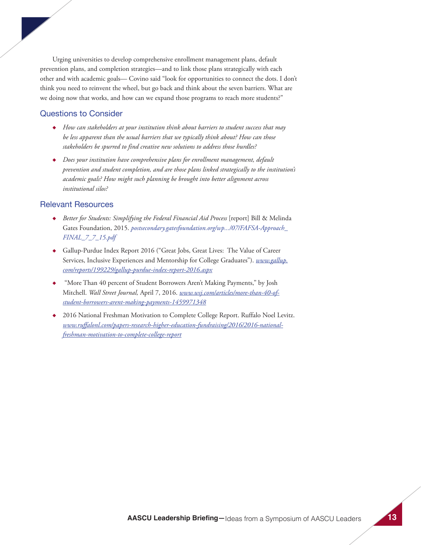Urging universities to develop comprehensive enrollment management plans, default prevention plans, and completion strategies—and to link those plans strategically with each other and with academic goals— Covino said "look for opportunities to connect the dots. I don't think you need to reinvent the wheel, but go back and think about the seven barriers. What are we doing now that works, and how can we expand those programs to reach more students?"

#### Questions to Consider

- ◆ *How can stakeholders at your institution think about barriers to student success that may be less apparent than the usual barriers that we typically think about? How can those stakeholders be spurred to find creative new solutions to address those hurdles?*
- ◆ *Does your institution have comprehensive plans for enrollment management, default prevention and student completion, and are those plans linked strategically to the institution's academic goals? How might such planning be brought into better alignment across institutional silos?*

- ◆ *Better for Students: Simplifying the Federal Financial Aid Process* [report] Bill & Melinda Gates Foundation, 2015. *postsecondary.gatesfoundation.org/wp.../07/FAFSA-Approach\_ FINAL\_7\_7\_15.pdf*
- ◆ Gallup-Purdue Index Report 2016 ("Great Jobs, Great Lives: The Value of Career Services, Inclusive Experiences and Mentorship for College Graduates"). *www.gallup. com/reports/199229/gallup-purdue-index-report-2016.aspx*
- "More Than 40 percent of Student Borrowers Aren't Making Payments," by Josh Mitchell. *Wall Street Journal,* April 7, 2016. *www.wsj.com/articles/more-than-40-ofstudent-borrowers-arent-making-payments-1459971348*
- 2016 National Freshman Motivation to Complete College Report. Ruffalo Noel Levitz. *www.ruffalonl.com/papers-research-higher-education-fundraising/2016/2016-nationalfreshman-motivation-to-complete-college-report*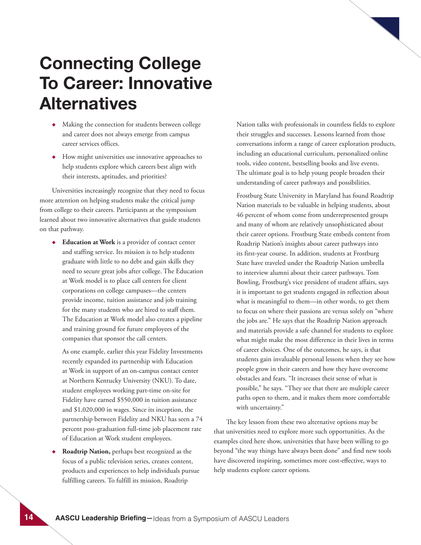## **Connecting College To Career: Innovative Alternatives**

- ◆ Making the connection for students between college and career does not always emerge from campus career services offices.
- ◆ How might universities use innovative approaches to help students explore which careers best align with their interests, aptitudes, and priorities?

Universities increasingly recognize that they need to focus more attention on helping students make the critical jump from college to their careers. Participants at the symposium learned about two innovative alternatives that guide students on that pathway.

◆ **Education at Work** is a provider of contact center and staffing service. Its mission is to help students graduate with little to no debt and gain skills they need to secure great jobs after college. The Education at Work model is to place call centers for client corporations on college campuses—the centers provide income, tuition assistance and job training for the many students who are hired to staff them. The Education at Work model also creates a pipeline and training ground for future employees of the companies that sponsor the call centers.

As one example, earlier this year Fidelity Investments recently expanded its partnership with Education at Work in support of an on-campus contact center at Northern Kentucky University (NKU). To date, student employees working part-time on-site for Fidelity have earned \$550,000 in tuition assistance and \$1,020,000 in wages. Since its inception, the partnership between Fidelity and NKU has seen a 74 percent post-graduation full-time job placement rate of Education at Work student employees.

**Roadtrip Nation, perhaps best recognized as the** focus of a public television series, creates content, products and experiences to help individuals pursue fulfilling careers. To fulfill its mission, Roadtrip

Nation talks with professionals in countless fields to explore their struggles and successes. Lessons learned from those conversations inform a range of career exploration products, including an educational curriculum, personalized online tools, video content, bestselling books and live events. The ultimate goal is to help young people broaden their understanding of career pathways and possibilities.

Frostburg State University in Maryland has found Roadtrip Nation materials to be valuable in helping students, about 46 percent of whom come from underrepresented groups and many of whom are relatively unsophisticated about their career options. Frostburg State embeds content from Roadtrip Nation's insights about career pathways into its first-year course. In addition, students at Frostburg State have traveled under the Roadtrip Nation umbrella to interview alumni about their career pathways. Tom Bowling, Frostburg's vice president of student affairs, says it is important to get students engaged in reflection about what is meaningful to them—in other words, to get them to focus on where their passions are versus solely on "where the jobs are." He says that the Roadtrip Nation approach and materials provide a safe channel for students to explore what might make the most difference in their lives in terms of career choices. One of the outcomes, he says, is that students gain invaluable personal lessons when they see how people grow in their careers and how they have overcome obstacles and fears. "It increases their sense of what is possible," he says. "They see that there are multiple career paths open to them, and it makes them more comfortable with uncertainty."

The key lesson from these two alternative options may be that universities need to explore more such opportunities. As the examples cited here show, universities that have been willing to go beyond "the way things have always been done" and find new tools have discovered inspiring, sometimes more cost-effective, ways to help students explore career options.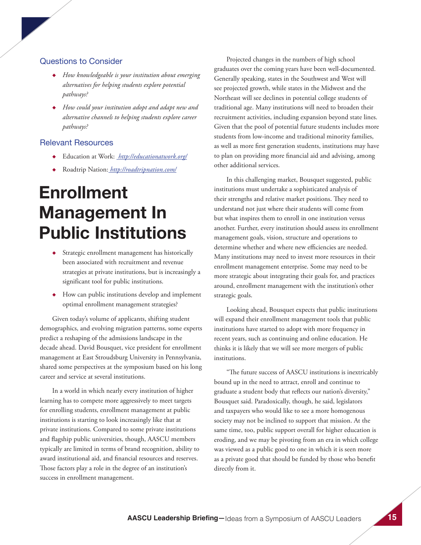#### Questions to Consider

- ◆ *How knowledgeable is your institution about emerging alternatives for helping students explore potential pathways?*
- ◆ *How could your institution adopt and adapt new and alternative channels to helping students explore career pathways?*

#### Relevant Resources

- ◆ Education at Work: *http://educationatwork.org/*
- ◆ Roadtrip Nation: *http://roadtripnation.com/*

# **Enrollment Management In Public Institutions**

- ◆ Strategic enrollment management has historically been associated with recruitment and revenue strategies at private institutions, but is increasingly a significant tool for public institutions.
- ◆ How can public institutions develop and implement optimal enrollment management strategies?

Given today's volume of applicants, shifting student demographics, and evolving migration patterns, some experts predict a reshaping of the admissions landscape in the decade ahead. David Bousquet, vice president for enrollment management at East Stroudsburg University in Pennsylvania, shared some perspectives at the symposium based on his long career and service at several institutions.

In a world in which nearly every institution of higher learning has to compete more aggressively to meet targets for enrolling students, enrollment management at public institutions is starting to look increasingly like that at private institutions. Compared to some private institutions and flagship public universities, though, AASCU members typically are limited in terms of brand recognition, ability to award institutional aid, and financial resources and reserves. Those factors play a role in the degree of an institution's success in enrollment management.

Projected changes in the numbers of high school graduates over the coming years have been well-documented. Generally speaking, states in the Southwest and West will see projected growth, while states in the Midwest and the Northeast will see declines in potential college students of traditional age. Many institutions will need to broaden their recruitment activities, including expansion beyond state lines. Given that the pool of potential future students includes more students from low-income and traditional minority families, as well as more first generation students, institutions may have to plan on providing more financial aid and advising, among other additional services.

In this challenging market, Bousquet suggested, public institutions must undertake a sophisticated analysis of their strengths and relative market positions. They need to understand not just where their students will come from but what inspires them to enroll in one institution versus another. Further, every institution should assess its enrollment management goals, vision, structure and operations to determine whether and where new efficiencies are needed. Many institutions may need to invest more resources in their enrollment management enterprise. Some may need to be more strategic about integrating their goals for, and practices around, enrollment management with the institution's other strategic goals.

Looking ahead, Bousquet expects that public institutions will expand their enrollment management tools that public institutions have started to adopt with more frequency in recent years, such as continuing and online education. He thinks it is likely that we will see more mergers of public institutions.

"The future success of AASCU institutions is inextricably bound up in the need to attract, enroll and continue to graduate a student body that reflects our nation's diversity," Bousquet said. Paradoxically, though, he said, legislators and taxpayers who would like to see a more homogenous society may not be inclined to support that mission. At the same time, too, public support overall for higher education is eroding, and we may be pivoting from an era in which college was viewed as a public good to one in which it is seen more as a private good that should be funded by those who benefit directly from it.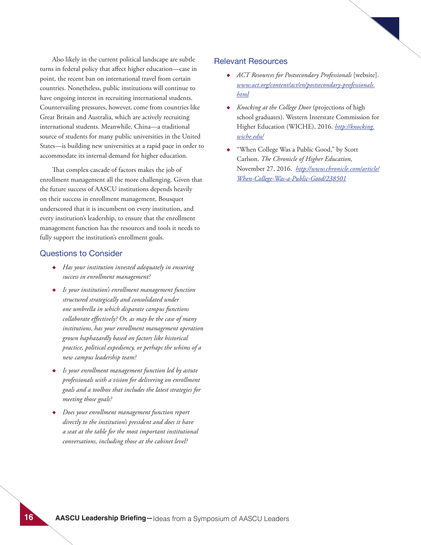Also likely in the current political landscape are subtle turns in federal policy that affect higher education—case in point, the recent ban on international travel from certain countries. Nonetheless, public institutions will continue to have ongoing interest in recruiting international students. Countervailing pressures, however, come from countries like Great Britain and Australia, which are actively recruiting international students. Meanwhile, China—a traditional source of students for many public universities in the United States—is building new universities at a rapid pace in order to accommodate its internal demand for higher education.

That complex cascade of factors makes the job of enrollment management all the more challenging. Given that the future success of AASCU institutions depends heavily on their success in enrollment management, Bousquet underscored that it is incumbent on every institution, and every institution's leadership, to ensure that the enrollment management function has the resources and tools it needs to fully support the institution's enrollment goals.

#### Questions to Consider

- ◆ *Has your institution invested adequately in ensuring success in enrollment management?*
- ◆ *Is your institution's enrollment management function structured strategically and consolidated under one umbrella in which disparate campus functions collaborate effectively? Or, as may be the case of many institutions, has your enrollment management operation grown haphazardly based on factors like historical practice, political expediency, or perhaps the whims of a new campus leadership team?*
- ◆ *Is your enrollment management function led by astute professionals with a vision for delivering on enrollment goals and a toolbox that includes the latest strategies for meeting those goals?*
- ◆ *Does your enrollment management function report directly to the institution's president and does it have a seat at the table for the most important institutional conversations, including those at the cabinet level?*

- ◆ *ACT Resources for Postsecondary Professionals* [website]. *www.act.org/content/act/en/postsecondary-professionals. html*
- ◆ *Knocking at the College Door* (projections of high school graduates). Western Interstate Commission for Higher Education (WICHE), 2016. *http://knocking. wiche.edu/*
- "When College Was a Public Good," by Scott Carlson. *The Chronicle of Higher Education,*  November 27, 2016. *http://www.chronicle.com/article/ When-College-Was-a-Public-Good/238501*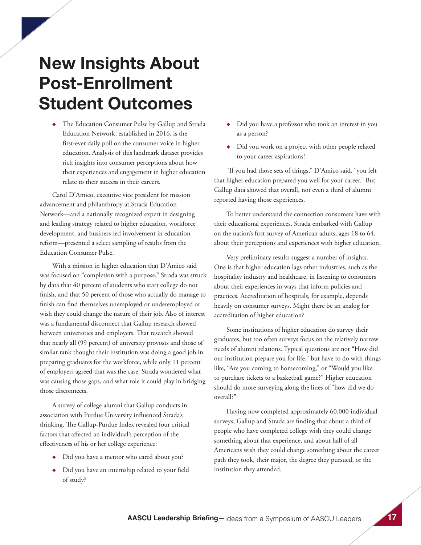### **New Insights About Post-Enrollment Student Outcomes**

◆ The Education Consumer Pulse by Gallup and Strada Education Network, established in 2016, is the first-ever daily poll on the consumer voice in higher education. Analysis of this landmark dataset provides rich insights into consumer perceptions about how their experiences and engagement in higher education relate to their success in their careers.

Carol D'Amico, executive vice president for mission advancement and philanthropy at Strada Education Network—and a nationally recognized expert in designing and leading strategy related to higher education, workforce development, and business-led involvement in education reform—presented a select sampling of results from the Education Consumer Pulse.

With a mission in higher education that D'Amico said was focused on "completion with a purpose," Strada was struck by data that 40 percent of students who start college do not finish, and that 50 percent of those who actually do manage to finish can find themselves unemployed or underemployed or wish they could change the nature of their job. Also of interest was a fundamental disconnect that Gallup research showed between universities and employers. That research showed that nearly all (99 percent) of university provosts and those of similar rank thought their institution was doing a good job in preparing graduates for the workforce, while only 11 percent of employers agreed that was the case. Strada wondered what was causing those gaps, and what role it could play in bridging those disconnects.

A survey of college alumni that Gallup conducts in association with Purdue University influenced Strada's thinking. The Gallup-Purdue Index revealed four critical factors that affected an individual's perception of the effectiveness of his or her college experience:

- ◆ Did you have a mentor who cared about you?
- ◆ Did you have an internship related to your field of study?
- ◆ Did you have a professor who took an interest in you as a person?
- ◆ Did you work on a project with other people related to your career aspirations?

"If you had those sets of things," D'Amico said, "you felt that higher education prepared you well for your career." But Gallup data showed that overall, not even a third of alumni reported having those experiences.

To better understand the connection consumers have with their educational experiences, Strada embarked with Gallup on the nation's first survey of American adults, ages 18 to 64, about their perceptions and experiences with higher education.

Very preliminary results suggest a number of insights. One is that higher education lags other industries, such as the hospitality industry and healthcare, in listening to consumers about their experiences in ways that inform policies and practices. Accreditation of hospitals, for example, depends heavily on consumer surveys. Might there be an analog for accreditation of higher education?

Some institutions of higher education do survey their graduates, but too often surveys focus on the relatively narrow needs of alumni relations. Typical questions are not "How did our institution prepare you for life," but have to do with things like, "Are you coming to homecoming," or "Would you like to purchase tickets to a basketball game?" Higher education should do more surveying along the lines of "how did we do overall?"

Having now completed approximately 60,000 individual surveys, Gallup and Strada are finding that about a third of people who have completed college wish they could change something about that experience, and about half of all Americans wish they could change something about the career path they took, their major, the degree they pursued, or the institution they attended.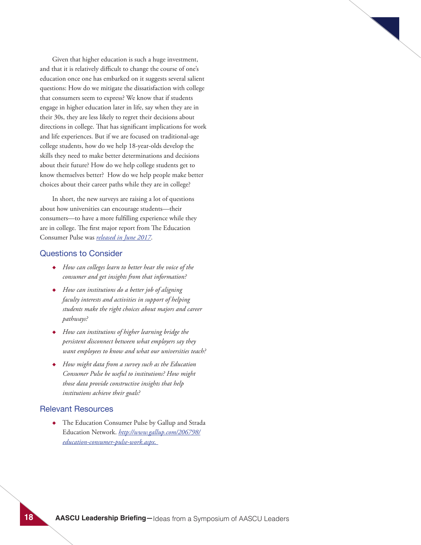Given that higher education is such a huge investment, and that it is relatively difficult to change the course of one's education once one has embarked on it suggests several salient questions: How do we mitigate the dissatisfaction with college that consumers seem to express? We know that if students engage in higher education later in life, say when they are in their 30s, they are less likely to regret their decisions about directions in college. That has significant implications for work and life experiences. But if we are focused on traditional-age college students, how do we help 18-year-olds develop the skills they need to make better determinations and decisions about their future? How do we help college students get to know themselves better? How do we help people make better choices about their career paths while they are in college?

In short, the new surveys are raising a lot of questions about how universities can encourage students—their consumers—to have a more fulfilling experience while they are in college. The first major report from The Education Consumer Pulse was *released in June 2017*.

#### Questions to Consider

- ◆ *How can colleges learn to better hear the voice of the consumer and get insights from that information?*
- ◆ *How can institutions do a better job of aligning faculty interests and activities in support of helping students make the right choices about majors and career pathways?*
- ◆ *How can institutions of higher learning bridge the persistent disconnect between what employers say they want employees to know and what our universities teach?*
- ◆ *How might data from a survey such as the Education Consumer Pulse be useful to institutions? How might those data provide constructive insights that help institutions achieve their goals?*

#### Relevant Resources

◆ The Education Consumer Pulse by Gallup and Strada Education Network. *http://www.gallup.com/206798/ education-consumer-pulse-work.aspx.*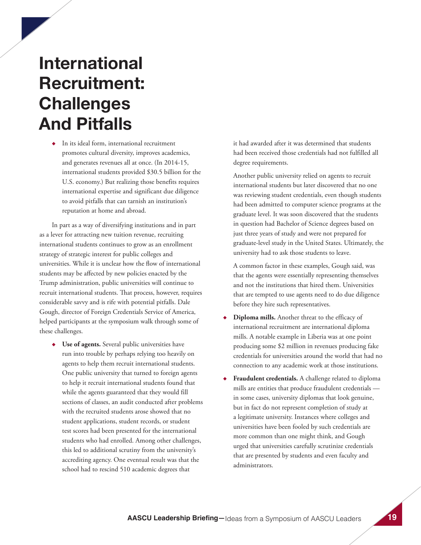# **International Recruitment: Challenges And Pitfalls**

◆ In its ideal form, international recruitment promotes cultural diversity, improves academics, and generates revenues all at once. (In 2014-15, international students provided \$30.5 billion for the U.S. economy.) But realizing those benefits requires international expertise and significant due diligence to avoid pitfalls that can tarnish an institution's reputation at home and abroad.

In part as a way of diversifying institutions and in part as a lever for attracting new tuition revenue, recruiting international students continues to grow as an enrollment strategy of strategic interest for public colleges and universities. While it is unclear how the flow of international students may be affected by new policies enacted by the Trump administration, public universities will continue to recruit international students. That process, however, requires considerable savvy and is rife with potential pitfalls. Dale Gough, director of Foreign Credentials Service of America, helped participants at the symposium walk through some of these challenges.

◆ **Use of agents.** Several public universities have run into trouble by perhaps relying too heavily on agents to help them recruit international students. One public university that turned to foreign agents to help it recruit international students found that while the agents guaranteed that they would fill sections of classes, an audit conducted after problems with the recruited students arose showed that no student applications, student records, or student test scores had been presented for the international students who had enrolled. Among other challenges, this led to additional scrutiny from the university's accrediting agency. One eventual result was that the school had to rescind 510 academic degrees that

it had awarded after it was determined that students had been received those credentials had not fulfilled all degree requirements.

Another public university relied on agents to recruit international students but later discovered that no one was reviewing student credentials, even though students had been admitted to computer science programs at the graduate level. It was soon discovered that the students in question had Bachelor of Science degrees based on just three years of study and were not prepared for graduate-level study in the United States. Ultimately, the university had to ask those students to leave.

A common factor in these examples, Gough said, was that the agents were essentially representing themselves and not the institutions that hired them. Universities that are tempted to use agents need to do due diligence before they hire such representatives.

- Diploma mills. Another threat to the efficacy of international recruitment are international diploma mills. A notable example in Liberia was at one point producing some \$2 million in revenues producing fake credentials for universities around the world that had no connection to any academic work at those institutions.
- **Fraudulent credentials.** A challenge related to diploma mills are entities that produce fraudulent credentials in some cases, university diplomas that look genuine, but in fact do not represent completion of study at a legitimate university. Instances where colleges and universities have been fooled by such credentials are more common than one might think, and Gough urged that universities carefully scrutinize credentials that are presented by students and even faculty and administrators.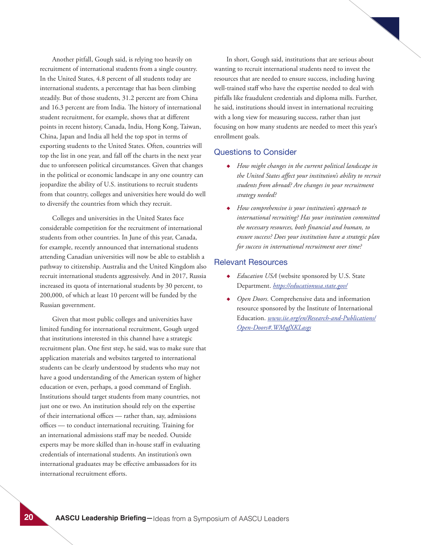Another pitfall, Gough said, is relying too heavily on recruitment of international students from a single country. In the United States, 4.8 percent of all students today are international students, a percentage that has been climbing steadily. But of those students, 31.2 percent are from China and 16.3 percent are from India. The history of international student recruitment, for example, shows that at different points in recent history, Canada, India, Hong Kong, Taiwan, China, Japan and India all held the top spot in terms of exporting students to the United States. Often, countries will top the list in one year, and fall off the charts in the next year due to unforeseen political circumstances. Given that changes in the political or economic landscape in any one country can jeopardize the ability of U.S. institutions to recruit students from that country, colleges and universities here would do well to diversify the countries from which they recruit.

Colleges and universities in the United States face considerable competition for the recruitment of international students from other countries. In June of this year, Canada, for example, recently announced that international students attending Canadian universities will now be able to establish a pathway to citizenship. Australia and the United Kingdom also recruit international students aggressively. And in 2017, Russia increased its quota of international students by 30 percent, to 200,000, of which at least 10 percent will be funded by the Russian government.

Given that most public colleges and universities have limited funding for international recruitment, Gough urged that institutions interested in this channel have a strategic recruitment plan. One first step, he said, was to make sure that application materials and websites targeted to international students can be clearly understood by students who may not have a good understanding of the American system of higher education or even, perhaps, a good command of English. Institutions should target students from many countries, not just one or two. An institution should rely on the expertise of their international offices — rather than, say, admissions offices — to conduct international recruiting. Training for an international admissions staff may be needed. Outside experts may be more skilled than in-house staff in evaluating credentials of international students. An institution's own international graduates may be effective ambassadors for its international recruitment efforts.

In short, Gough said, institutions that are serious about wanting to recruit international students need to invest the resources that are needed to ensure success, including having well-trained staff who have the expertise needed to deal with pitfalls like fraudulent credentials and diploma mills. Further, he said, institutions should invest in international recruiting with a long view for measuring success, rather than just focusing on how many students are needed to meet this year's enrollment goals.

#### Questions to Consider

- ◆ *How might changes in the current political landscape in the United States affect your institution's ability to recruit students from abroad? Are changes in your recruitment strategy needed?*
- ◆ *How comprehensive is your institution's approach to international recruiting? Has your institution committed the necessary resources, both financial and human, to ensure success? Does your institution have a strategic plan for success in international recruitment over time?*

- ◆ *Education USA* (website sponsored by U.S. State Department. *https://educationusa.state.gov/*
- Open Doors. Comprehensive data and information resource sponsored by the Institute of International Education. *www.iie.org/en/Research-and-Publications/ Open-Doors#.WMqfXKLasgs*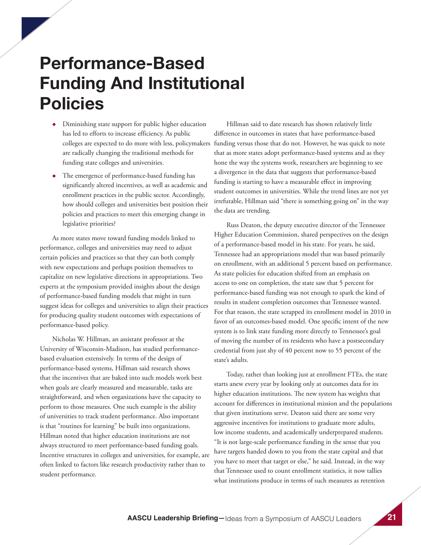### **Performance-Based Funding And Institutional Policies**

- ◆ Diminishing state support for public higher education has led to efforts to increase efficiency. As public colleges are expected to do more with less, policymakers are radically changing the traditional methods for funding state colleges and universities.
- ◆ The emergence of performance-based funding has significantly altered incentives, as well as academic and enrollment practices in the public sector. Accordingly, how should colleges and universities best position their policies and practices to meet this emerging change in legislative priorities?

As more states move toward funding models linked to performance, colleges and universities may need to adjust certain policies and practices so that they can both comply with new expectations and perhaps position themselves to capitalize on new legislative directions in appropriations. Two experts at the symposium provided insights about the design of performance-based funding models that might in turn suggest ideas for colleges and universities to align their practices for producing quality student outcomes with expectations of performance-based policy.

Nicholas W. Hillman, an assistant professor at the University of Wisconsin-Madison, has studied performancebased evaluation extensively. In terms of the design of performance-based systems, Hillman said research shows that the incentives that are baked into such models work best when goals are clearly measured and measurable, tasks are straightforward, and when organizations have the capacity to perform to those measures. One such example is the ability of universities to track student performance. Also important is that "routines for learning" be built into organizations. Hillman noted that higher education institutions are not always structured to meet performance-based funding goals. Incentive structures in colleges and universities, for example, are often linked to factors like research productivity rather than to student performance.

Hillman said to date research has shown relatively little difference in outcomes in states that have performance-based funding versus those that do not. However, he was quick to note that as more states adopt performance-based systems and as they hone the way the systems work, researchers are beginning to see a divergence in the data that suggests that performance-based funding is starting to have a measurable effect in improving student outcomes in universities. While the trend lines are not yet irrefutable, Hillman said "there is something going on" in the way the data are trending.

Russ Deaton, the deputy executive director of the Tennessee Higher Education Commission, shared perspectives on the design of a performance-based model in his state. For years, he said, Tennessee had an appropriations model that was based primarily on enrollment, with an additional 5 percent based on performance. As state policies for education shifted from an emphasis on access to one on completion, the state saw that 5 percent for performance-based funding was not enough to spark the kind of results in student completion outcomes that Tennessee wanted. For that reason, the state scrapped its enrollment model in 2010 in favor of an outcomes-based model. One specific intent of the new system is to link state funding more directly to Tennessee's goal of moving the number of its residents who have a postsecondary credential from just shy of 40 percent now to 55 percent of the state's adults.

Today, rather than looking just at enrollment FTEs, the state starts anew every year by looking only at outcomes data for its higher education institutions. The new system has weights that account for differences in institutional mission and the populations that given institutions serve. Deaton said there are some very aggressive incentives for institutions to graduate more adults, low income students, and academically underprepared students. "It is not large-scale performance funding in the sense that you have targets handed down to you from the state capital and that you have to meet that target or else," he said. Instead, in the way that Tennessee used to count enrollment statistics, it now tallies what institutions produce in terms of such measures as retention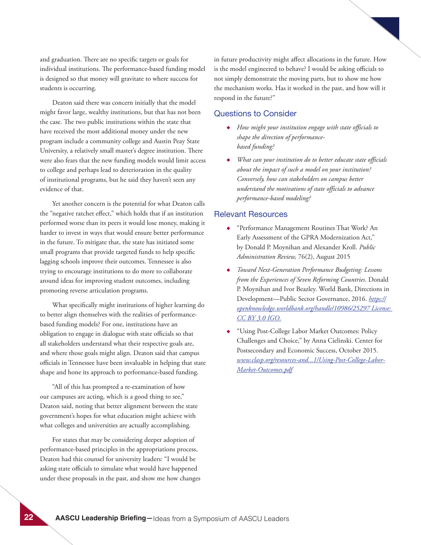and graduation. There are no specific targets or goals for individual institutions. The performance-based funding model is designed so that money will gravitate to where success for students is occurring.

Deaton said there was concern initially that the model might favor large, wealthy institutions, but that has not been the case. The two public institutions within the state that have received the most additional money under the new program include a community college and Austin Peay State University, a relatively small master's degree institution. There were also fears that the new funding models would limit access to college and perhaps lead to deterioration in the quality of institutional programs, but he said they haven't seen any evidence of that.

Yet another concern is the potential for what Deaton calls the "negative ratchet effect," which holds that if an institution performed worse than its peers it would lose money, making it harder to invest in ways that would ensure better performance in the future. To mitigate that, the state has initiated some small programs that provide targeted funds to help specific lagging schools improve their outcomes. Tennessee is also trying to encourage institutions to do more to collaborate around ideas for improving student outcomes, including promoting reverse articulation programs.

What specifically might institutions of higher learning do to better align themselves with the realities of performancebased funding models? For one, institutions have an obligation to engage in dialogue with state officials so that all stakeholders understand what their respective goals are, and where those goals might align. Deaton said that campus officials in Tennessee have been invaluable in helping that state shape and hone its approach to performance-based funding.

"All of this has prompted a re-examination of how our campuses are acting, which is a good thing to see," Deaton said, noting that better alignment between the state government's hopes for what education might achieve with what colleges and universities are actually accomplishing.

For states that may be considering deeper adoption of performance-based principles in the appropriations process, Deaton had this counsel for university leaders: "I would be asking state officials to simulate what would have happened under these proposals in the past, and show me how changes in future productivity might affect allocations in the future. How is the model engineered to behave? I would be asking officials to not simply demonstrate the moving parts, but to show me how the mechanism works. Has it worked in the past, and how will it respond in the future?"

#### Questions to Consider

- ◆ *How might your institution engage with state officials to shape the direction of performancebased funding?*
- ◆ *What can your institution do to better educate state officials about the impact of such a model on your institution? Conversely, how can stakeholders on campus better understand the motivations of state officials to advance performance-based modeling?*

- ◆ "Performance Management Routines That Work? An Early Assessment of the GPRA Modernization Act," by Donald P. Moynihan and Alexander Kroll. *Public Administration Review,* 76(2), August 2015
- ◆ *Toward Next-Generation Performance Budgeting: Lessons from the Experiences of Seven Reforming Countries*. Donald P. Moynihan and Ivor Beazley. World Bank, Directions in Development—Public Sector Governance, 2016. *https:// openknowledge.worldbank.org/handle/10986/25297 License: CC BY 3.0 IGO.*
- ◆ "Using Post-College Labor Market Outcomes: Policy Challenges and Choice," by Anna Cielinski. Center for Postsecondary and Economic Success, October 2015. *www.clasp.org/resources-and...1/Using-Post-College-Labor-Market-Outcomes.pdf*